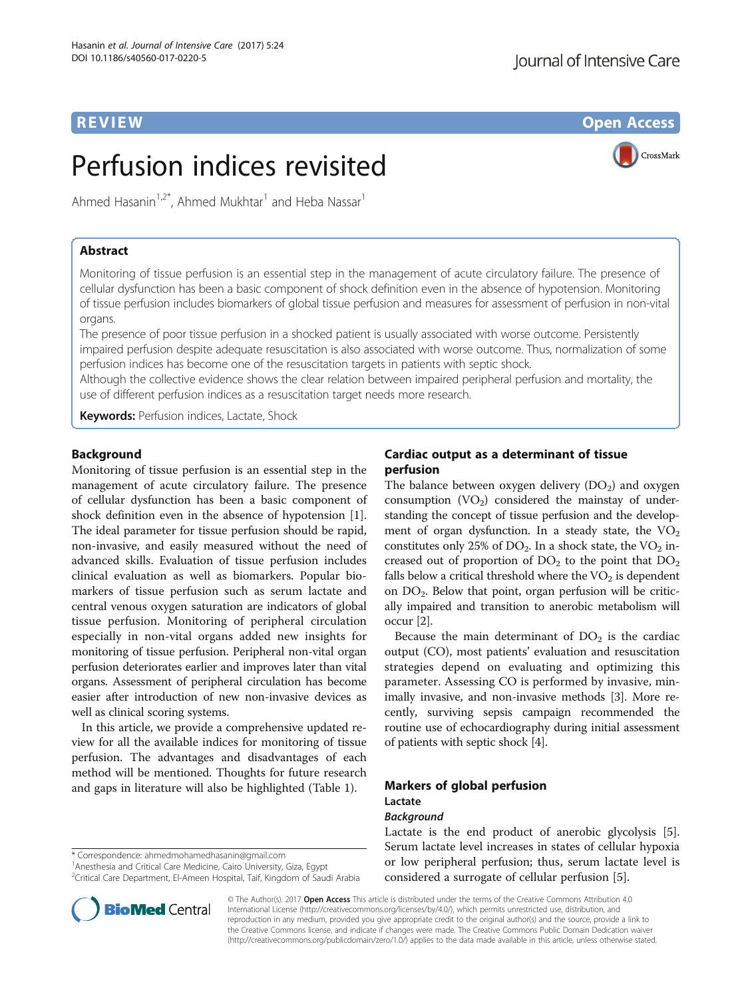**REVIEW CONSTRUCTION CONSTRUCTION CONSTRUCTS** 

# Perfusion indices revisited

CrossMark

Ahmed Hasanin<sup>1,2\*</sup>, Ahmed Mukhtar<sup>1</sup> and Heba Nassar<sup>1</sup>

## Abstract

Monitoring of tissue perfusion is an essential step in the management of acute circulatory failure. The presence of cellular dysfunction has been a basic component of shock definition even in the absence of hypotension. Monitoring of tissue perfusion includes biomarkers of global tissue perfusion and measures for assessment of perfusion in non-vital organs.

The presence of poor tissue perfusion in a shocked patient is usually associated with worse outcome. Persistently impaired perfusion despite adequate resuscitation is also associated with worse outcome. Thus, normalization of some perfusion indices has become one of the resuscitation targets in patients with septic shock.

Although the collective evidence shows the clear relation between impaired peripheral perfusion and mortality, the use of different perfusion indices as a resuscitation target needs more research.

**Keywords: Perfusion indices, Lactate, Shock** 

## Background

Monitoring of tissue perfusion is an essential step in the management of acute circulatory failure. The presence of cellular dysfunction has been a basic component of shock definition even in the absence of hypotension [\[1](#page-5-0)]. The ideal parameter for tissue perfusion should be rapid, non-invasive, and easily measured without the need of advanced skills. Evaluation of tissue perfusion includes clinical evaluation as well as biomarkers. Popular biomarkers of tissue perfusion such as serum lactate and central venous oxygen saturation are indicators of global tissue perfusion. Monitoring of peripheral circulation especially in non-vital organs added new insights for monitoring of tissue perfusion. Peripheral non-vital organ perfusion deteriorates earlier and improves later than vital organs. Assessment of peripheral circulation has become easier after introduction of new non-invasive devices as well as clinical scoring systems.

In this article, we provide a comprehensive updated review for all the available indices for monitoring of tissue perfusion. The advantages and disadvantages of each method will be mentioned. Thoughts for future research and gaps in literature will also be highlighted (Table [1\)](#page-1-0).

\* Correspondence: [ahmedmohamedhasanin@gmail.com](mailto:ahmedmohamedhasanin@gmail.com) <sup>1</sup>

<sup>1</sup> Anesthesia and Critical Care Medicine, Cairo University, Giza, Egypt

2 Critical Care Department, El-Ameen Hospital, Taif, Kingdom of Saudi Arabia

## Cardiac output as a determinant of tissue perfusion

The balance between oxygen delivery  $(DO<sub>2</sub>)$  and oxygen consumption  $(VO_2)$  considered the mainstay of understanding the concept of tissue perfusion and the development of organ dysfunction. In a steady state, the  $VO<sub>2</sub>$ constitutes only 25% of  $DO<sub>2</sub>$ . In a shock state, the  $VO<sub>2</sub>$  increased out of proportion of  $DO<sub>2</sub>$  to the point that  $DO<sub>2</sub>$ falls below a critical threshold where the  $VO<sub>2</sub>$  is dependent on  $DO<sub>2</sub>$ . Below that point, organ perfusion will be critically impaired and transition to anerobic metabolism will occur [[2\]](#page-5-0).

Because the main determinant of  $DO<sub>2</sub>$  is the cardiac output (CO), most patients' evaluation and resuscitation strategies depend on evaluating and optimizing this parameter. Assessing CO is performed by invasive, minimally invasive, and non-invasive methods [[3\]](#page-5-0). More recently, surviving sepsis campaign recommended the routine use of echocardiography during initial assessment of patients with septic shock [[4\]](#page-5-0).

## Markers of global perfusion Lactate

## **Background**

Lactate is the end product of anerobic glycolysis [\[5](#page-5-0)]. Serum lactate level increases in states of cellular hypoxia or low peripheral perfusion; thus, serum lactate level is considered a surrogate of cellular perfusion [[5\]](#page-5-0).

© The Author(s). 2017 **Open Access** This article is distributed under the terms of the Creative Commons Attribution 4.0 International License [\(http://creativecommons.org/licenses/by/4.0/](http://creativecommons.org/licenses/by/4.0/)), which permits unrestricted use, distribution, and reproduction in any medium, provided you give appropriate credit to the original author(s) and the source, provide a link to the Creative Commons license, and indicate if changes were made. The Creative Commons Public Domain Dedication waiver [\(http://creativecommons.org/publicdomain/zero/1.0/](http://creativecommons.org/publicdomain/zero/1.0/)) applies to the data made available in this article, unless otherwise stated.

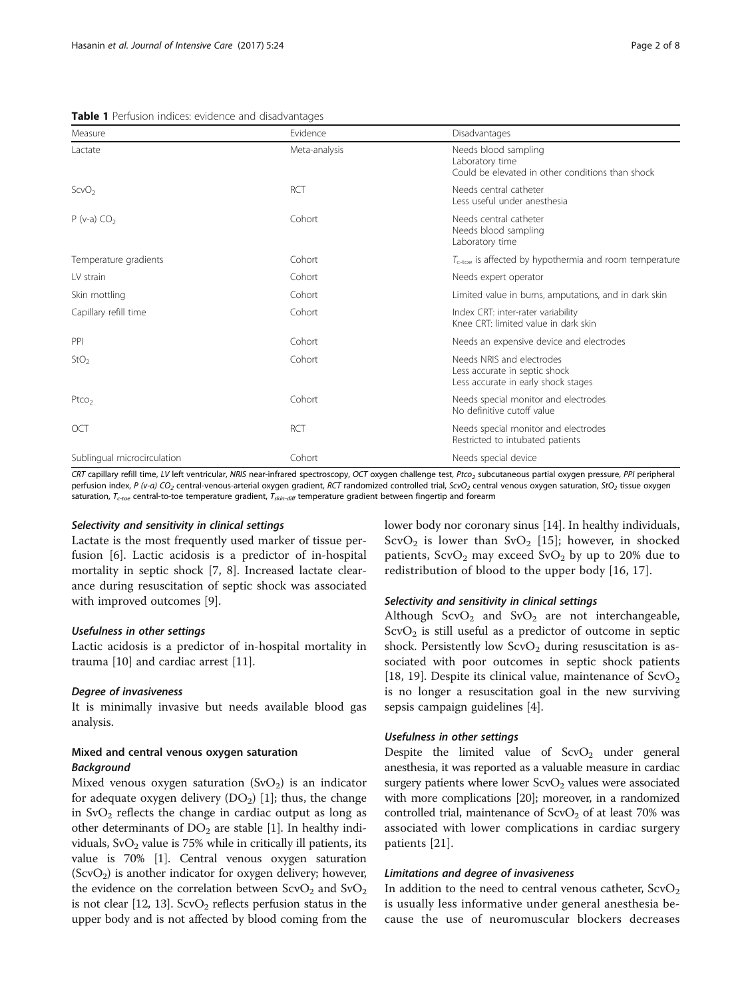<span id="page-1-0"></span>Table 1 Perfusion indices: evidence and disadvantages

| Measure                        | Evidence      | Disadvantages                                                                                     |
|--------------------------------|---------------|---------------------------------------------------------------------------------------------------|
| Lactate                        | Meta-analysis | Needs blood sampling<br>Laboratory time<br>Could be elevated in other conditions than shock       |
| ScvO <sub>2</sub>              | <b>RCT</b>    | Needs central catheter<br>Less useful under anesthesia                                            |
| $P (v-a) CO2$                  | Cohort        | Needs central catheter<br>Needs blood sampling<br>Laboratory time                                 |
| Temperature gradients          | Cohort        | $T_{\text{c-toe}}$ is affected by hypothermia and room temperature                                |
| LV strain                      | Cohort        | Needs expert operator                                                                             |
| Skin mottling                  | Cohort        | Limited value in burns, amputations, and in dark skin                                             |
| Capillary refill time          | Cohort        | Index CRT: inter-rater variability<br>Knee CRT: limited value in dark skin                        |
| PPI                            | Cohort        | Needs an expensive device and electrodes                                                          |
| StO <sub>2</sub>               | Cohort        | Needs NRIS and electrodes<br>Less accurate in septic shock<br>Less accurate in early shock stages |
| P <sub>1</sub> CO <sub>2</sub> | Cohort        | Needs special monitor and electrodes<br>No definitive cutoff value                                |
| OCT                            | RCT           | Needs special monitor and electrodes<br>Restricted to intubated patients                          |
| Sublingual microcirculation    | Cohort        | Needs special device                                                                              |

CRT capillary refill time, LV left ventricular, NRIS near-infrared spectroscopy, OCT oxygen challenge test, Ptco<sub>2</sub> subcutaneous partial oxygen pressure, PPI peripheral perfusion index, P (v-a) CO<sub>2</sub> central-venous-arterial oxygen gradient, RCT randomized controlled trial, ScvO<sub>2</sub> central venous oxygen saturation, StO<sub>2</sub> tissue oxygen saturation,  $T_{\text{c-toe}}$  central-to-toe temperature gradient,  $T_{\text{skin-diff}}$  temperature gradient between fingertip and forearm

#### Selectivity and sensitivity in clinical settings

Lactate is the most frequently used marker of tissue perfusion [[6\]](#page-6-0). Lactic acidosis is a predictor of in-hospital mortality in septic shock [\[7](#page-6-0), [8\]](#page-6-0). Increased lactate clearance during resuscitation of septic shock was associated with improved outcomes [[9\]](#page-6-0).

## Usefulness in other settings

Lactic acidosis is a predictor of in-hospital mortality in trauma [[10\]](#page-6-0) and cardiac arrest [\[11\]](#page-6-0).

#### Degree of invasiveness

It is minimally invasive but needs available blood gas analysis.

## Mixed and central venous oxygen saturation Background

Mixed venous oxygen saturation  $(SvO<sub>2</sub>)$  is an indicator for adequate oxygen delivery  $(DO_2)$  [\[1](#page-5-0)]; thus, the change in  $\text{SvO}_2$  reflects the change in cardiac output as long as other determinants of  $DO<sub>2</sub>$  are stable [\[1](#page-5-0)]. In healthy individuals,  $\text{SvO}_2$  value is 75% while in critically ill patients, its value is 70% [\[1\]](#page-5-0). Central venous oxygen saturation  $(ScvO<sub>2</sub>)$  is another indicator for oxygen delivery; however, the evidence on the correlation between  $ScvO<sub>2</sub>$  and  $SvO<sub>2</sub>$ is not clear  $[12, 13]$  $[12, 13]$  $[12, 13]$  $[12, 13]$ . ScvO<sub>2</sub> reflects perfusion status in the upper body and is not affected by blood coming from the lower body nor coronary sinus [[14](#page-6-0)]. In healthy individuals, ScvO<sub>2</sub> is lower than SvO<sub>2</sub> [[15](#page-6-0)]; however, in shocked patients,  $ScvO<sub>2</sub>$  may exceed  $SvO<sub>2</sub>$  by up to 20% due to redistribution of blood to the upper body [[16, 17](#page-6-0)].

## Selectivity and sensitivity in clinical settings

Although  $ScvO<sub>2</sub>$  and  $SvO<sub>2</sub>$  are not interchangeable,  $S\text{cvO}_2$  is still useful as a predictor of outcome in septic shock. Persistently low  $ScvO<sub>2</sub>$  during resuscitation is associated with poor outcomes in septic shock patients [[18, 19\]](#page-6-0). Despite its clinical value, maintenance of  $ScvO<sub>2</sub>$ is no longer a resuscitation goal in the new surviving sepsis campaign guidelines [\[4](#page-5-0)].

## Usefulness in other settings

Despite the limited value of  $ScvO<sub>2</sub>$  under general anesthesia, it was reported as a valuable measure in cardiac surgery patients where lower  $ScvO<sub>2</sub>$  values were associated with more complications [[20](#page-6-0)]; moreover, in a randomized controlled trial, maintenance of  $ScvO<sub>2</sub>$  of at least 70% was associated with lower complications in cardiac surgery patients [[21\]](#page-6-0).

## Limitations and degree of invasiveness

In addition to the need to central venous catheter,  $ScvO<sub>2</sub>$ is usually less informative under general anesthesia because the use of neuromuscular blockers decreases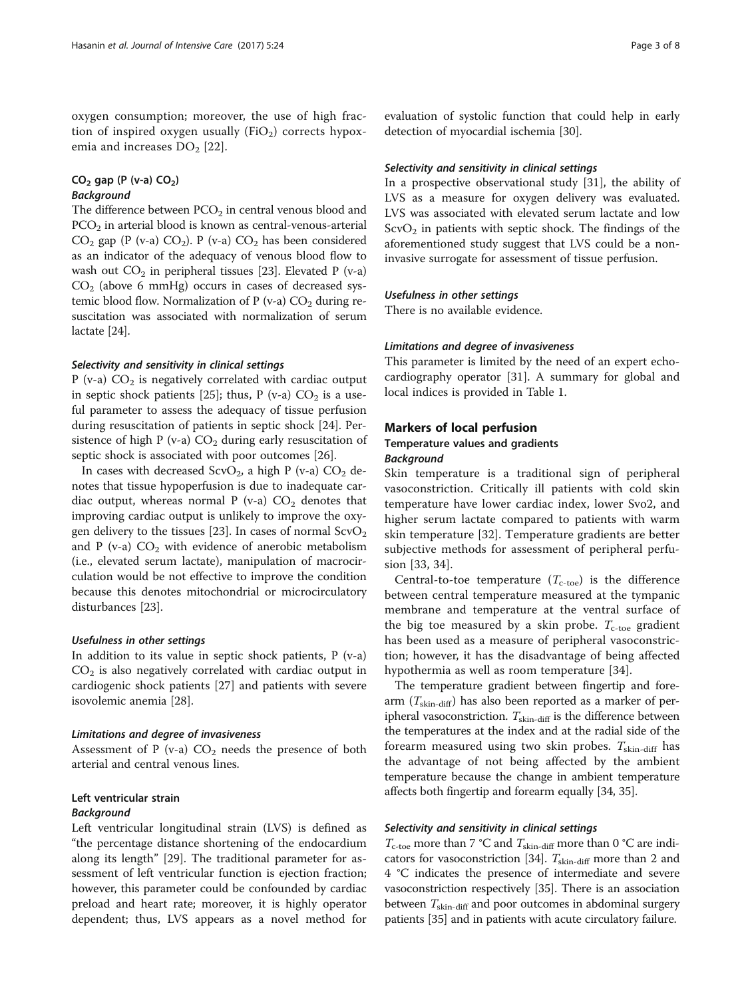oxygen consumption; moreover, the use of high fraction of inspired oxygen usually (FiO<sub>2</sub>) corrects hypoxemia and increases  $DO<sub>2</sub>$  [[22\]](#page-6-0).

## $CO<sub>2</sub>$  gap (P (v-a)  $CO<sub>2</sub>$ ) **Backaround**

The difference between  $PCO<sub>2</sub>$  in central venous blood and  $PCO<sub>2</sub>$  in arterial blood is known as central-venous-arterial  $CO<sub>2</sub>$  gap (P (v-a)  $CO<sub>2</sub>$ ). P (v-a)  $CO<sub>2</sub>$  has been considered as an indicator of the adequacy of venous blood flow to wash out  $CO<sub>2</sub>$  in peripheral tissues [\[23](#page-6-0)]. Elevated P (v-a)  $CO<sub>2</sub>$  (above 6 mmHg) occurs in cases of decreased systemic blood flow. Normalization of P (v-a)  $CO<sub>2</sub>$  during resuscitation was associated with normalization of serum lactate [\[24\]](#page-6-0).

## Selectivity and sensitivity in clinical settings

P (v-a)  $CO<sub>2</sub>$  is negatively correlated with cardiac output in septic shock patients [[25\]](#page-6-0); thus,  $P$  (v-a)  $CO_2$  is a useful parameter to assess the adequacy of tissue perfusion during resuscitation of patients in septic shock [\[24](#page-6-0)]. Persistence of high P (v-a)  $CO<sub>2</sub>$  during early resuscitation of septic shock is associated with poor outcomes [[26](#page-6-0)].

In cases with decreased  $ScvO_2$ , a high P (v-a)  $CO_2$  denotes that tissue hypoperfusion is due to inadequate cardiac output, whereas normal  $P$  (v-a)  $CO<sub>2</sub>$  denotes that improving cardiac output is unlikely to improve the oxy-gen delivery to the tissues [\[23](#page-6-0)]. In cases of normal  $ScvO<sub>2</sub>$ and P (v-a)  $CO<sub>2</sub>$  with evidence of anerobic metabolism (i.e., elevated serum lactate), manipulation of macrocirculation would be not effective to improve the condition because this denotes mitochondrial or microcirculatory disturbances [\[23\]](#page-6-0).

## Usefulness in other settings

In addition to its value in septic shock patients,  $P$  (v-a)  $CO<sub>2</sub>$  is also negatively correlated with cardiac output in cardiogenic shock patients [\[27\]](#page-6-0) and patients with severe isovolemic anemia [\[28](#page-6-0)].

## Limitations and degree of invasiveness

Assessment of P (v-a)  $CO<sub>2</sub>$  needs the presence of both arterial and central venous lines.

## Left ventricular strain

## Background

Left ventricular longitudinal strain (LVS) is defined as "the percentage distance shortening of the endocardium along its length" [\[29](#page-6-0)]. The traditional parameter for assessment of left ventricular function is ejection fraction; however, this parameter could be confounded by cardiac preload and heart rate; moreover, it is highly operator dependent; thus, LVS appears as a novel method for evaluation of systolic function that could help in early detection of myocardial ischemia [\[30\]](#page-6-0).

## Selectivity and sensitivity in clinical settings

In a prospective observational study [\[31\]](#page-6-0), the ability of LVS as a measure for oxygen delivery was evaluated. LVS was associated with elevated serum lactate and low  $S$ cv $O<sub>2</sub>$  in patients with septic shock. The findings of the aforementioned study suggest that LVS could be a noninvasive surrogate for assessment of tissue perfusion.

## Usefulness in other settings

There is no available evidence.

## Limitations and degree of invasiveness

This parameter is limited by the need of an expert echocardiography operator [[31\]](#page-6-0). A summary for global and local indices is provided in Table [1.](#page-1-0)

## Markers of local perfusion

## Temperature values and gradients

Background

Skin temperature is a traditional sign of peripheral vasoconstriction. Critically ill patients with cold skin temperature have lower cardiac index, lower Svo2, and higher serum lactate compared to patients with warm skin temperature [[32\]](#page-6-0). Temperature gradients are better subjective methods for assessment of peripheral perfusion [\[33](#page-6-0), [34](#page-6-0)].

Central-to-toe temperature  $(T_{\text{c-toe}})$  is the difference between central temperature measured at the tympanic membrane and temperature at the ventral surface of the big toe measured by a skin probe.  $T_{\text{c-toe}}$  gradient has been used as a measure of peripheral vasoconstriction; however, it has the disadvantage of being affected hypothermia as well as room temperature [\[34](#page-6-0)].

The temperature gradient between fingertip and forearm  $(T<sub>skin-diff</sub>)$  has also been reported as a marker of peripheral vasoconstriction.  $T_{\text{skin-diff}}$  is the difference between the temperatures at the index and at the radial side of the forearm measured using two skin probes.  $T_{\text{skin-diff}}$  has the advantage of not being affected by the ambient temperature because the change in ambient temperature affects both fingertip and forearm equally [[34, 35\]](#page-6-0).

## Selectivity and sensitivity in clinical settings

 $T_{\text{c-toe}}$  more than 7 °C and  $T_{\text{skin-diff}}$  more than 0 °C are indi-cators for vasoconstriction [[34](#page-6-0)].  $T_{\text{skin-diff}}$  more than 2 and 4 °C indicates the presence of intermediate and severe vasoconstriction respectively [\[35](#page-6-0)]. There is an association between  $T_{\text{skin-diff}}$  and poor outcomes in abdominal surgery patients [\[35\]](#page-6-0) and in patients with acute circulatory failure.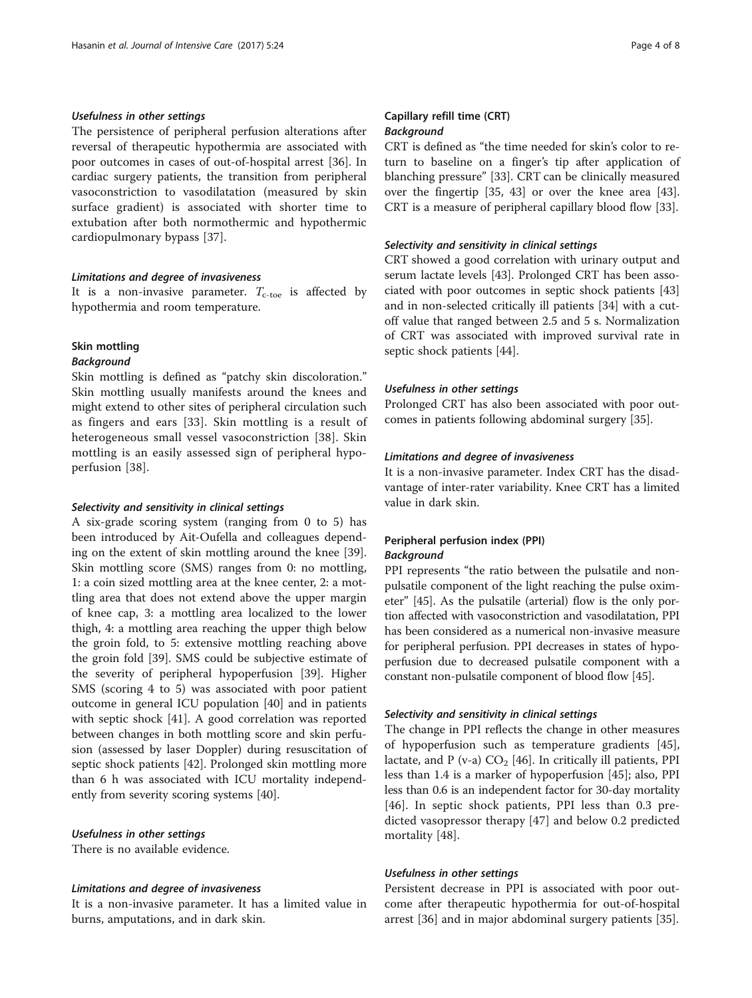## Usefulness in other settings

The persistence of peripheral perfusion alterations after reversal of therapeutic hypothermia are associated with poor outcomes in cases of out-of-hospital arrest [\[36](#page-6-0)]. In cardiac surgery patients, the transition from peripheral vasoconstriction to vasodilatation (measured by skin surface gradient) is associated with shorter time to extubation after both normothermic and hypothermic cardiopulmonary bypass [\[37](#page-6-0)].

## Limitations and degree of invasiveness

It is a non-invasive parameter.  $T_{\text{c-toe}}$  is affected by hypothermia and room temperature.

## Skin mottling

#### Background

Skin mottling is defined as "patchy skin discoloration." Skin mottling usually manifests around the knees and might extend to other sites of peripheral circulation such as fingers and ears [\[33\]](#page-6-0). Skin mottling is a result of heterogeneous small vessel vasoconstriction [[38\]](#page-6-0). Skin mottling is an easily assessed sign of peripheral hypoperfusion [[38\]](#page-6-0).

## Selectivity and sensitivity in clinical settings

A six-grade scoring system (ranging from 0 to 5) has been introduced by Ait-Oufella and colleagues depending on the extent of skin mottling around the knee [\[39](#page-6-0)]. Skin mottling score (SMS) ranges from 0: no mottling, 1: a coin sized mottling area at the knee center, 2: a mottling area that does not extend above the upper margin of knee cap, 3: a mottling area localized to the lower thigh, 4: a mottling area reaching the upper thigh below the groin fold, to 5: extensive mottling reaching above the groin fold [[39](#page-6-0)]. SMS could be subjective estimate of the severity of peripheral hypoperfusion [\[39](#page-6-0)]. Higher SMS (scoring 4 to 5) was associated with poor patient outcome in general ICU population [[40\]](#page-6-0) and in patients with septic shock [[41](#page-6-0)]. A good correlation was reported between changes in both mottling score and skin perfusion (assessed by laser Doppler) during resuscitation of septic shock patients [\[42](#page-6-0)]. Prolonged skin mottling more than 6 h was associated with ICU mortality independently from severity scoring systems [\[40](#page-6-0)].

#### Usefulness in other settings

There is no available evidence.

## Limitations and degree of invasiveness

It is a non-invasive parameter. It has a limited value in burns, amputations, and in dark skin.

## Capillary refill time (CRT) **Background**

CRT is defined as "the time needed for skin's color to return to baseline on a finger's tip after application of blanching pressure" [[33](#page-6-0)]. CRT can be clinically measured over the fingertip [\[35, 43\]](#page-6-0) or over the knee area [\[43](#page-6-0)]. CRT is a measure of peripheral capillary blood flow [\[33](#page-6-0)].

#### Selectivity and sensitivity in clinical settings

CRT showed a good correlation with urinary output and serum lactate levels [\[43\]](#page-6-0). Prolonged CRT has been associated with poor outcomes in septic shock patients [[43](#page-6-0)] and in non-selected critically ill patients [\[34](#page-6-0)] with a cutoff value that ranged between 2.5 and 5 s. Normalization of CRT was associated with improved survival rate in septic shock patients [[44\]](#page-6-0).

## Usefulness in other settings

Prolonged CRT has also been associated with poor outcomes in patients following abdominal surgery [\[35](#page-6-0)].

#### Limitations and degree of invasiveness

It is a non-invasive parameter. Index CRT has the disadvantage of inter-rater variability. Knee CRT has a limited value in dark skin.

## Peripheral perfusion index (PPI) Background

PPI represents "the ratio between the pulsatile and nonpulsatile component of the light reaching the pulse oximeter" [\[45\]](#page-6-0). As the pulsatile (arterial) flow is the only portion affected with vasoconstriction and vasodilatation, PPI has been considered as a numerical non-invasive measure for peripheral perfusion. PPI decreases in states of hypoperfusion due to decreased pulsatile component with a constant non-pulsatile component of blood flow [[45](#page-6-0)].

## Selectivity and sensitivity in clinical settings

The change in PPI reflects the change in other measures of hypoperfusion such as temperature gradients [\[45](#page-6-0)], lactate, and P (v-a)  $CO<sub>2</sub>$  [[46\]](#page-6-0). In critically ill patients, PPI less than 1.4 is a marker of hypoperfusion [[45\]](#page-6-0); also, PPI less than 0.6 is an independent factor for 30-day mortality [[46\]](#page-6-0). In septic shock patients, PPI less than 0.3 predicted vasopressor therapy [\[47](#page-6-0)] and below 0.2 predicted mortality [[48\]](#page-6-0).

## Usefulness in other settings

Persistent decrease in PPI is associated with poor outcome after therapeutic hypothermia for out-of-hospital arrest [[36\]](#page-6-0) and in major abdominal surgery patients [[35](#page-6-0)].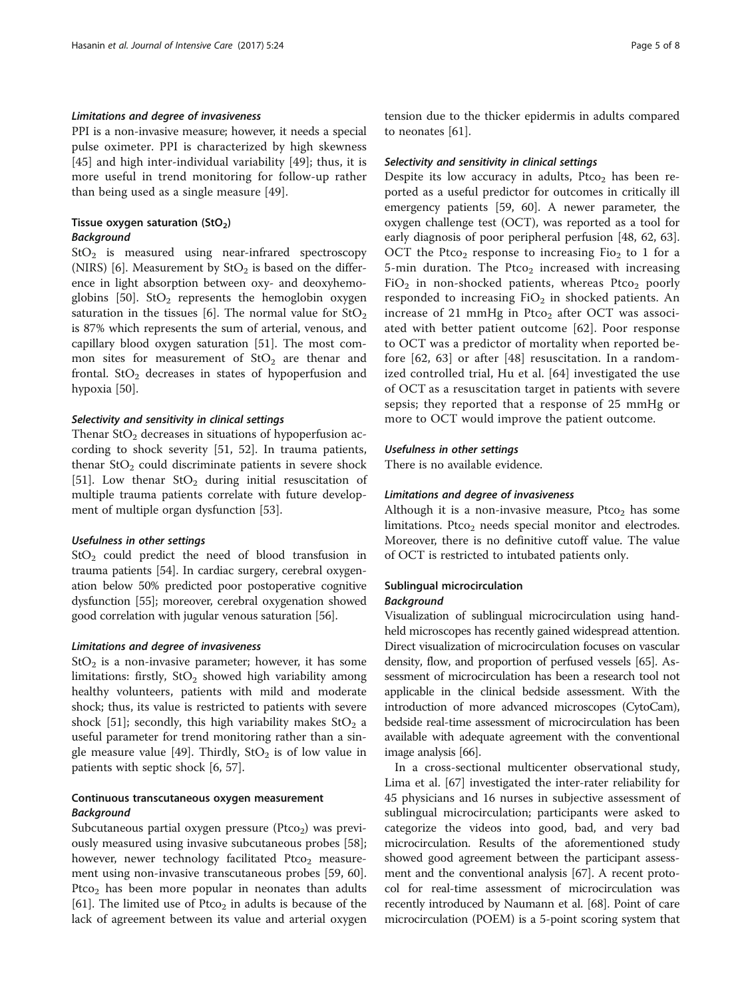## Limitations and degree of invasiveness

PPI is a non-invasive measure; however, it needs a special pulse oximeter. PPI is characterized by high skewness [[45\]](#page-6-0) and high inter-individual variability [\[49](#page-6-0)]; thus, it is more useful in trend monitoring for follow-up rather than being used as a single measure [[49\]](#page-6-0).

## Tissue oxygen saturation  $(StO<sub>2</sub>)$ Background

 $StO<sub>2</sub>$  is measured using near-infrared spectroscopy (NIRS) [\[6](#page-6-0)]. Measurement by  $StO<sub>2</sub>$  is based on the difference in light absorption between oxy- and deoxyhemo-globins [[50\]](#page-6-0). StO<sub>2</sub> represents the hemoglobin oxygen saturation in the tissues [[6](#page-6-0)]. The normal value for  $StO<sub>2</sub>$ is 87% which represents the sum of arterial, venous, and capillary blood oxygen saturation [[51](#page-6-0)]. The most common sites for measurement of  $StO<sub>2</sub>$  are thenar and frontal.  $StO<sub>2</sub>$  decreases in states of hypoperfusion and hypoxia [[50](#page-6-0)].

## Selectivity and sensitivity in clinical settings

Thenar  $StO<sub>2</sub>$  decreases in situations of hypoperfusion according to shock severity [\[51](#page-6-0), [52\]](#page-6-0). In trauma patients, thenar  $StO<sub>2</sub>$  could discriminate patients in severe shock [[51\]](#page-6-0). Low thenar  $StO<sub>2</sub>$  during initial resuscitation of multiple trauma patients correlate with future development of multiple organ dysfunction [[53](#page-6-0)].

## Usefulness in other settings

StO2 could predict the need of blood transfusion in trauma patients [[54](#page-7-0)]. In cardiac surgery, cerebral oxygenation below 50% predicted poor postoperative cognitive dysfunction [\[55\]](#page-7-0); moreover, cerebral oxygenation showed good correlation with jugular venous saturation [[56](#page-7-0)].

## Limitations and degree of invasiveness

 $StO<sub>2</sub>$  is a non-invasive parameter; however, it has some limitations: firstly,  $StO<sub>2</sub>$  showed high variability among healthy volunteers, patients with mild and moderate shock; thus, its value is restricted to patients with severe shock [\[51](#page-6-0)]; secondly, this high variability makes  $StO<sub>2</sub>$  a useful parameter for trend monitoring rather than a sin-gle measure value [[49](#page-6-0)]. Thirdly,  $StO<sub>2</sub>$  is of low value in patients with septic shock [[6,](#page-6-0) [57\]](#page-7-0).

## Continuous transcutaneous oxygen measurement Background

Subcutaneous partial oxygen pressure ( $P_{\text{tco}_2}$ ) was previously measured using invasive subcutaneous probes [\[58](#page-7-0)]; however, newer technology facilitated  $Ptco<sub>2</sub>$  measurement using non-invasive transcutaneous probes [\[59, 60](#page-7-0)]. Ptco<sub>2</sub> has been more popular in neonates than adults [[61\]](#page-7-0). The limited use of Ptco<sub>2</sub> in adults is because of the lack of agreement between its value and arterial oxygen tension due to the thicker epidermis in adults compared to neonates [\[61\]](#page-7-0).

## Selectivity and sensitivity in clinical settings

Despite its low accuracy in adults,  $Ptco<sub>2</sub>$  has been reported as a useful predictor for outcomes in critically ill emergency patients [\[59](#page-7-0), [60\]](#page-7-0). A newer parameter, the oxygen challenge test (OCT), was reported as a tool for early diagnosis of poor peripheral perfusion [[48](#page-6-0), [62, 63](#page-7-0)]. OCT the Ptco<sub>2</sub> response to increasing Fio<sub>2</sub> to 1 for a 5-min duration. The  $Ptco<sub>2</sub>$  increased with increasing  $FiO<sub>2</sub>$  in non-shocked patients, whereas Ptco<sub>2</sub> poorly responded to increasing  $FiO<sub>2</sub>$  in shocked patients. An increase of 21 mmHg in Ptco<sub>2</sub> after OCT was associated with better patient outcome [[62](#page-7-0)]. Poor response to OCT was a predictor of mortality when reported before [[62, 63](#page-7-0)] or after [[48\]](#page-6-0) resuscitation. In a randomized controlled trial, Hu et al. [[64](#page-7-0)] investigated the use of OCT as a resuscitation target in patients with severe sepsis; they reported that a response of 25 mmHg or more to OCT would improve the patient outcome.

## Usefulness in other settings

There is no available evidence.

## Limitations and degree of invasiveness

Although it is a non-invasive measure,  $Ptco<sub>2</sub>$  has some limitations. Ptco<sub>2</sub> needs special monitor and electrodes. Moreover, there is no definitive cutoff value. The value of OCT is restricted to intubated patients only.

## Sublingual microcirculation

## Background

Visualization of sublingual microcirculation using handheld microscopes has recently gained widespread attention. Direct visualization of microcirculation focuses on vascular density, flow, and proportion of perfused vessels [\[65\]](#page-7-0). Assessment of microcirculation has been a research tool not applicable in the clinical bedside assessment. With the introduction of more advanced microscopes (CytoCam), bedside real-time assessment of microcirculation has been available with adequate agreement with the conventional image analysis [[66](#page-7-0)].

In a cross-sectional multicenter observational study, Lima et al. [[67](#page-7-0)] investigated the inter-rater reliability for 45 physicians and 16 nurses in subjective assessment of sublingual microcirculation; participants were asked to categorize the videos into good, bad, and very bad microcirculation. Results of the aforementioned study showed good agreement between the participant assessment and the conventional analysis [[67](#page-7-0)]. A recent protocol for real-time assessment of microcirculation was recently introduced by Naumann et al. [\[68\]](#page-7-0). Point of care microcirculation (POEM) is a 5-point scoring system that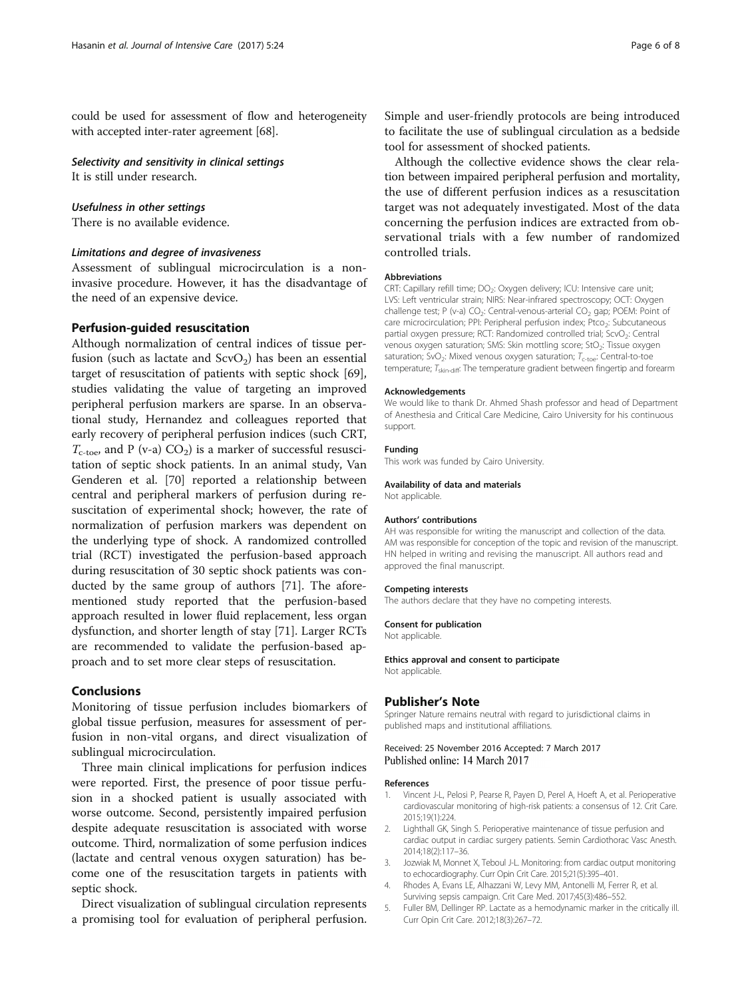<span id="page-5-0"></span>could be used for assessment of flow and heterogeneity with accepted inter-rater agreement [[68](#page-7-0)].

## Selectivity and sensitivity in clinical settings

It is still under research.

## Usefulness in other settings

There is no available evidence.

## Limitations and degree of invasiveness

Assessment of sublingual microcirculation is a noninvasive procedure. However, it has the disadvantage of the need of an expensive device.

## Perfusion-guided resuscitation

Although normalization of central indices of tissue perfusion (such as lactate and  $ScvO<sub>2</sub>$ ) has been an essential target of resuscitation of patients with septic shock [\[69](#page-7-0)], studies validating the value of targeting an improved peripheral perfusion markers are sparse. In an observational study, Hernandez and colleagues reported that early recovery of peripheral perfusion indices (such CRT,  $T_{\text{c-toe}}$  and P (v-a) CO<sub>2</sub>) is a marker of successful resuscitation of septic shock patients. In an animal study, Van Genderen et al. [[70\]](#page-7-0) reported a relationship between central and peripheral markers of perfusion during resuscitation of experimental shock; however, the rate of normalization of perfusion markers was dependent on the underlying type of shock. A randomized controlled trial (RCT) investigated the perfusion-based approach during resuscitation of 30 septic shock patients was conducted by the same group of authors [[71\]](#page-7-0). The aforementioned study reported that the perfusion-based approach resulted in lower fluid replacement, less organ dysfunction, and shorter length of stay [[71](#page-7-0)]. Larger RCTs are recommended to validate the perfusion-based approach and to set more clear steps of resuscitation.

## Conclusions

Monitoring of tissue perfusion includes biomarkers of global tissue perfusion, measures for assessment of perfusion in non-vital organs, and direct visualization of sublingual microcirculation.

Three main clinical implications for perfusion indices were reported. First, the presence of poor tissue perfusion in a shocked patient is usually associated with worse outcome. Second, persistently impaired perfusion despite adequate resuscitation is associated with worse outcome. Third, normalization of some perfusion indices (lactate and central venous oxygen saturation) has become one of the resuscitation targets in patients with septic shock.

Direct visualization of sublingual circulation represents a promising tool for evaluation of peripheral perfusion. Simple and user-friendly protocols are being introduced to facilitate the use of sublingual circulation as a bedside tool for assessment of shocked patients.

Although the collective evidence shows the clear relation between impaired peripheral perfusion and mortality, the use of different perfusion indices as a resuscitation target was not adequately investigated. Most of the data concerning the perfusion indices are extracted from observational trials with a few number of randomized controlled trials.

## Abbreviations

CRT: Capillary refill time; DO<sub>2</sub>: Oxygen delivery; ICU: Intensive care unit; LVS: Left ventricular strain; NIRS: Near-infrared spectroscopy; OCT: Oxygen challenge test; P (v-a) CO<sub>2</sub>: Central-venous-arterial CO<sub>2</sub> gap; POEM: Point of care microcirculation; PPI: Peripheral perfusion index; Ptco<sub>2</sub>: Subcutaneous partial oxygen pressure; RCT: Randomized controlled trial; ScvO<sub>2</sub>: Central venous oxygen saturation; SMS: Skin mottling score; StO<sub>2</sub>: Tissue oxygen saturation; SvO<sub>2</sub>: Mixed venous oxygen saturation;  $T_{\text{c-toe}}$ : Central-to-toe temperature;  $T_{\text{skin-diff}}$ : The temperature gradient between fingertip and forearm

#### Acknowledgements

We would like to thank Dr. Ahmed Shash professor and head of Department of Anesthesia and Critical Care Medicine, Cairo University for his continuous support.

#### Funding

This work was funded by Cairo University.

Availability of data and materials Not applicable.

## Authors' contributions

AH was responsible for writing the manuscript and collection of the data. AM was responsible for conception of the topic and revision of the manuscript. HN helped in writing and revising the manuscript. All authors read and approved the final manuscript.

#### Competing interests

The authors declare that they have no competing interests.

#### Consent for publication

Not applicable.

#### Ethics approval and consent to participate

Not applicable

## Publisher's Note

Springer Nature remains neutral with regard to jurisdictional claims in published maps and institutional affiliations.

## Received: 25 November 2016 Accepted: 7 March 2017 Published online: 14 March 2017

#### References

- 1. Vincent J-L, Pelosi P, Pearse R, Payen D, Perel A, Hoeft A, et al. Perioperative cardiovascular monitoring of high-risk patients: a consensus of 12. Crit Care. 2015;19(1):224.
- 2. Lighthall GK, Singh S. Perioperative maintenance of tissue perfusion and cardiac output in cardiac surgery patients. Semin Cardiothorac Vasc Anesth. 2014;18(2):117–36.
- 3. Jozwiak M, Monnet X, Teboul J-L. Monitoring: from cardiac output monitoring to echocardiography. Curr Opin Crit Care. 2015;21(5):395–401.
- 4. Rhodes A, Evans LE, Alhazzani W, Levy MM, Antonelli M, Ferrer R, et al. Surviving sepsis campaign. Crit Care Med. 2017;45(3):486–552.
- 5. Fuller BM, Dellinger RP. Lactate as a hemodynamic marker in the critically ill. Curr Opin Crit Care. 2012;18(3):267–72.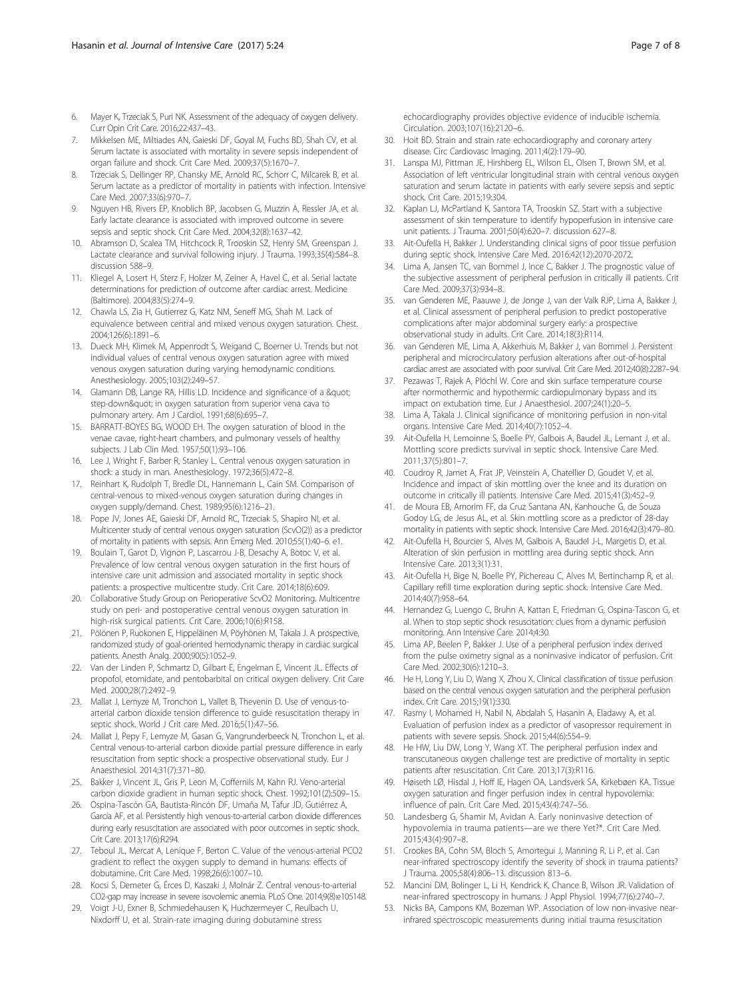- <span id="page-6-0"></span>6. Mayer K, Trzeciak S, Puri NK. Assessment of the adequacy of oxygen delivery. Curr Opin Crit Care. 2016;22:437–43.
- 7. Mikkelsen ME, Miltiades AN, Gaieski DF, Goyal M, Fuchs BD, Shah CV, et al. Serum lactate is associated with mortality in severe sepsis independent of organ failure and shock. Crit Care Med. 2009;37(5):1670–7.
- 8. Trzeciak S, Dellinger RP, Chansky ME, Arnold RC, Schorr C, Milcarek B, et al. Serum lactate as a predictor of mortality in patients with infection. Intensive Care Med. 2007;33(6):970–7.
- 9. Nguyen HB, Rivers EP, Knoblich BP, Jacobsen G, Muzzin A, Ressler JA, et al. Early lactate clearance is associated with improved outcome in severe sepsis and septic shock. Crit Care Med. 2004;32(8):1637–42.
- 10. Abramson D, Scalea TM, Hitchcock R, Trooskin SZ, Henry SM, Greenspan J. Lactate clearance and survival following injury. J Trauma. 1993;35(4):584–8. discussion 588–9.
- 11. Kliegel A, Losert H, Sterz F, Holzer M, Zeiner A, Havel C, et al. Serial lactate determinations for prediction of outcome after cardiac arrest. Medicine (Baltimore). 2004;83(5):274–9.
- 12. Chawla LS, Zia H, Gutierrez G, Katz NM, Seneff MG, Shah M. Lack of equivalence between central and mixed venous oxygen saturation. Chest. 2004;126(6):1891–6.
- 13. Dueck MH, Klimek M, Appenrodt S, Weigand C, Boerner U. Trends but not individual values of central venous oxygen saturation agree with mixed venous oxygen saturation during varying hemodynamic conditions. Anesthesiology. 2005;103(2):249–57.
- 14. Glamann DB, Lange RA, Hillis LD. Incidence and significance of a " step-down&quot: in oxygen saturation from superior vena cava to pulmonary artery. Am J Cardiol. 1991;68(6):695–7.
- 15. BARRATT-BOYES BG, WOOD EH. The oxygen saturation of blood in the venae cavae, right-heart chambers, and pulmonary vessels of healthy subjects. J Lab Clin Med. 1957;50(1):93–106.
- 16. Lee J, Wright F, Barber R, Stanley L. Central venous oxygen saturation in shock: a study in man. Anesthesiology. 1972;36(5):472–8.
- 17. Reinhart K, Rudolph T, Bredle DL, Hannemann L, Cain SM. Comparison of central-venous to mixed-venous oxygen saturation during changes in oxygen supply/demand. Chest. 1989;95(6):1216–21.
- 18. Pope JV, Jones AE, Gaieski DF, Arnold RC, Trzeciak S, Shapiro NI, et al. Multicenter study of central venous oxygen saturation (ScvO(2)) as a predictor of mortality in patients with sepsis. Ann Emerg Med. 2010;55(1):40–6. e1.
- 19. Boulain T, Garot D, Vignon P, Lascarrou J-B, Desachy A, Botoc V, et al. Prevalence of low central venous oxygen saturation in the first hours of intensive care unit admission and associated mortality in septic shock patients: a prospective multicentre study. Crit Care. 2014;18(6):609.
- 20. Collaborative Study Group on Perioperative ScvO2 Monitoring. Multicentre study on peri- and postoperative central venous oxygen saturation in high-risk surgical patients. Crit Care. 2006;10(6):R158.
- 21. Pölönen P, Ruokonen E, Hippeläinen M, Pöyhönen M, Takala J. A prospective, randomized study of goal-oriented hemodynamic therapy in cardiac surgical patients. Anesth Analg. 2000;90(5):1052–9.
- 22. Van der Linden P, Schmartz D, Gilbart E, Engelman E, Vincent JL. Effects of propofol, etomidate, and pentobarbital on critical oxygen delivery. Crit Care Med. 2000;28(7):2492–9.
- 23. Mallat J, Lemyze M, Tronchon L, Vallet B, Thevenin D. Use of venous-toarterial carbon dioxide tension difference to guide resuscitation therapy in septic shock. World J Crit care Med. 2016;5(1):47-56.
- 24. Mallat J, Pepy F, Lemyze M, Gasan G, Vangrunderbeeck N, Tronchon L, et al. Central venous-to-arterial carbon dioxide partial pressure difference in early resuscitation from septic shock: a prospective observational study. Eur J Anaesthesiol. 2014;31(7):371–80.
- 25. Bakker J, Vincent JL, Gris P, Leon M, Coffernils M, Kahn RJ. Veno-arterial carbon dioxide gradient in human septic shock. Chest. 1992;101(2):509–15.
- 26. Ospina-Tascón GA, Bautista-Rincón DF, Umaña M, Tafur JD, Gutiérrez A, García AF, et al. Persistently high venous-to-arterial carbon dioxide differences during early resuscitation are associated with poor outcomes in septic shock. Crit Care. 2013;17(6):R294.
- 27. Teboul JL, Mercat A, Lenique F, Berton C. Value of the venous-arterial PCO2 gradient to reflect the oxygen supply to demand in humans: effects of dobutamine. Crit Care Med. 1998;26(6):1007–10.
- 28. Kocsi S, Demeter G, Érces D, Kaszaki J, Molnár Z. Central venous-to-arterial CO2-gap may increase in severe isovolemic anemia. PLoS One. 2014;9(8):e105148.
- 29. Voigt J-U, Exner B, Schmiedehausen K, Huchzermeyer C, Reulbach U, Nixdorff U, et al. Strain-rate imaging during dobutamine stress

echocardiography provides objective evidence of inducible ischemia. Circulation. 2003;107(16):2120–6.

- 30. Hoit BD. Strain and strain rate echocardiography and coronary artery disease. Circ Cardiovasc Imaging. 2011;4(2):179–90.
- 31. Lanspa MJ, Pittman JE, Hirshberg EL, Wilson EL, Olsen T, Brown SM, et al. Association of left ventricular longitudinal strain with central venous oxygen saturation and serum lactate in patients with early severe sepsis and septic shock. Crit Care. 2015;19:304.
- 32. Kaplan LJ, McPartland K, Santora TA, Trooskin SZ. Start with a subjective assessment of skin temperature to identify hypoperfusion in intensive care unit patients. J Trauma. 2001;50(4):620–7. discussion 627–8.
- 33. Ait-Oufella H, Bakker J. Understanding clinical signs of poor tissue perfusion during septic shock. Intensive Care Med. 2016;42(12):2070-2072.
- 34. Lima A, Jansen TC, van Bommel J, Ince C, Bakker J. The prognostic value of the subjective assessment of peripheral perfusion in critically ill patients. Crit Care Med. 2009;37(3):934–8.
- 35. van Genderen ME, Paauwe J, de Jonge J, van der Valk RJP, Lima A, Bakker J, et al. Clinical assessment of peripheral perfusion to predict postoperative complications after major abdominal surgery early: a prospective observational study in adults. Crit Care. 2014;18(3):R114.
- 36. van Genderen ME, Lima A, Akkerhuis M, Bakker J, van Bommel J. Persistent peripheral and microcirculatory perfusion alterations after out-of-hospital cardiac arrest are associated with poor survival. Crit Care Med. 2012;40(8):2287–94.
- 37. Pezawas T, Rajek A, Plöchl W. Core and skin surface temperature course after normothermic and hypothermic cardiopulmonary bypass and its impact on extubation time. Eur J Anaesthesiol. 2007;24(1):20–5.
- 38. Lima A, Takala J. Clinical significance of monitoring perfusion in non-vital organs. Intensive Care Med. 2014;40(7):1052–4.
- 39. Ait-Oufella H, Lemoinne S, Boelle PY, Galbois A, Baudel JL, Lemant J, et al. Mottling score predicts survival in septic shock. Intensive Care Med. 2011;37(5):801–7.
- 40. Coudroy R, Jamet A, Frat JP, Veinstein A, Chatellier D, Goudet V, et al. Incidence and impact of skin mottling over the knee and its duration on outcome in critically ill patients. Intensive Care Med. 2015;41(3):452–9.
- 41. de Moura EB, Amorim FF, da Cruz Santana AN, Kanhouche G, de Souza Godoy LG, de Jesus AL, et al. Skin mottling score as a predictor of 28-day mortality in patients with septic shock. Intensive Care Med. 2016;42(3):479–80.
- 42. Ait-Oufella H, Bourcier S, Alves M, Galbois A, Baudel J-L, Margetis D, et al. Alteration of skin perfusion in mottling area during septic shock. Ann Intensive Care. 2013;3(1):31.
- 43. Ait-Oufella H, Bige N, Boelle PY, Pichereau C, Alves M, Bertinchamp R, et al. Capillary refill time exploration during septic shock. Intensive Care Med. 2014;40(7):958–64.
- 44. Hernandez G, Luengo C, Bruhn A, Kattan E, Friedman G, Ospina-Tascon G, et al. When to stop septic shock resuscitation: clues from a dynamic perfusion monitoring. Ann Intensive Care. 2014;4:30.
- 45. Lima AP, Beelen P, Bakker J. Use of a peripheral perfusion index derived from the pulse oximetry signal as a noninvasive indicator of perfusion. Crit Care Med. 2002;30(6):1210–3.
- 46. He H, Long Y, Liu D, Wang X, Zhou X. Clinical classification of tissue perfusion based on the central venous oxygen saturation and the peripheral perfusion index. Crit Care. 2015;19(1):330.
- 47. Rasmy I, Mohamed H, Nabil N, Abdalah S, Hasanin A, Eladawy A, et al. Evaluation of perfusion index as a predictor of vasopressor requirement in patients with severe sepsis. Shock. 2015;44(6):554–9.
- 48. He HW, Liu DW, Long Y, Wang XT. The peripheral perfusion index and transcutaneous oxygen challenge test are predictive of mortality in septic patients after resuscitation. Crit Care. 2013;17(3):R116.
- 49. Høiseth LØ, Hisdal J, Hoff IE, Hagen OA, Landsverk SA, Kirkebøen KA. Tissue oxygen saturation and finger perfusion index in central hypovolemia: influence of pain. Crit Care Med. 2015;43(4):747–56.
- 50. Landesberg G, Shamir M, Avidan A. Early noninvasive detection of hypovolemia in trauma patients—are we there Yet?\*. Crit Care Med. 2015;43(4):907–8.
- 51. Crookes BA, Cohn SM, Bloch S, Amortegui J, Manning R, Li P, et al. Can near-infrared spectroscopy identify the severity of shock in trauma patients? J Trauma. 2005;58(4):806–13. discussion 813–6.
- 52. Mancini DM, Bolinger L, Li H, Kendrick K, Chance B, Wilson JR. Validation of near-infrared spectroscopy in humans. J Appl Physiol. 1994;77(6):2740–7.
- 53. Nicks BA, Campons KM, Bozeman WP. Association of low non-invasive nearinfrared spectroscopic measurements during initial trauma resuscitation